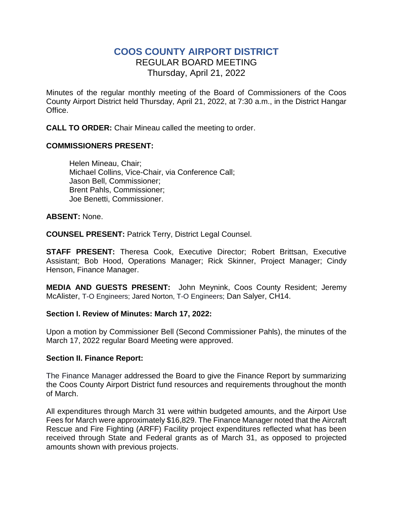# **COOS COUNTY AIRPORT DISTRICT** REGULAR BOARD MEETING Thursday, April 21, 2022

Minutes of the regular monthly meeting of the Board of Commissioners of the Coos County Airport District held Thursday, April 21, 2022, at 7:30 a.m., in the District Hangar Office.

**CALL TO ORDER:** Chair Mineau called the meeting to order.

## **COMMISSIONERS PRESENT:**

Helen Mineau, Chair; Michael Collins, Vice-Chair, via Conference Call; Jason Bell, Commissioner; Brent Pahls, Commissioner; Joe Benetti, Commissioner.

#### **ABSENT:** None.

**COUNSEL PRESENT:** Patrick Terry, District Legal Counsel.

**STAFF PRESENT:** Theresa Cook, Executive Director; Robert Brittsan, Executive Assistant; Bob Hood, Operations Manager; Rick Skinner, Project Manager; Cindy Henson, Finance Manager.

**MEDIA AND GUESTS PRESENT:** John Meynink, Coos County Resident; Jeremy McAlister, T-O Engineers; Jared Norton, T-O Engineers; Dan Salyer, CH14.

#### **Section I. Review of Minutes: March 17, 2022:**

Upon a motion by Commissioner Bell (Second Commissioner Pahls), the minutes of the March 17, 2022 regular Board Meeting were approved.

## **Section II. Finance Report:**

The Finance Manager addressed the Board to give the Finance Report by summarizing the Coos County Airport District fund resources and requirements throughout the month of March.

All expenditures through March 31 were within budgeted amounts, and the Airport Use Fees for March were approximately \$16,829. The Finance Manager noted that the Aircraft Rescue and Fire Fighting (ARFF) Facility project expenditures reflected what has been received through State and Federal grants as of March 31, as opposed to projected amounts shown with previous projects.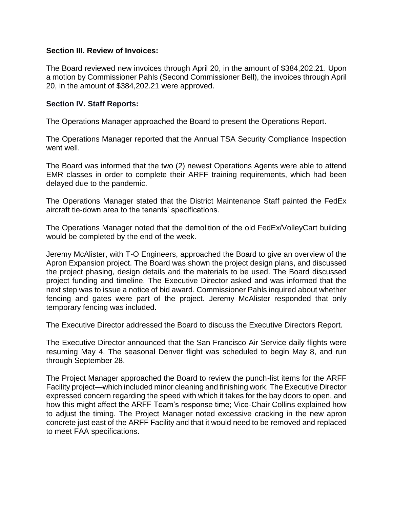#### **Section III. Review of Invoices:**

The Board reviewed new invoices through April 20, in the amount of \$384,202.21. Upon a motion by Commissioner Pahls (Second Commissioner Bell), the invoices through April 20, in the amount of \$384,202.21 were approved.

#### **Section IV. Staff Reports:**

The Operations Manager approached the Board to present the Operations Report.

The Operations Manager reported that the Annual TSA Security Compliance Inspection went well.

The Board was informed that the two (2) newest Operations Agents were able to attend EMR classes in order to complete their ARFF training requirements, which had been delayed due to the pandemic.

The Operations Manager stated that the District Maintenance Staff painted the FedEx aircraft tie-down area to the tenants' specifications.

The Operations Manager noted that the demolition of the old FedEx/VolleyCart building would be completed by the end of the week.

Jeremy McAlister, with T-O Engineers, approached the Board to give an overview of the Apron Expansion project. The Board was shown the project design plans, and discussed the project phasing, design details and the materials to be used. The Board discussed project funding and timeline. The Executive Director asked and was informed that the next step was to issue a notice of bid award. Commissioner Pahls inquired about whether fencing and gates were part of the project. Jeremy McAlister responded that only temporary fencing was included.

The Executive Director addressed the Board to discuss the Executive Directors Report.

The Executive Director announced that the San Francisco Air Service daily flights were resuming May 4. The seasonal Denver flight was scheduled to begin May 8, and run through September 28.

The Project Manager approached the Board to review the punch-list items for the ARFF Facility project—which included minor cleaning and finishing work. The Executive Director expressed concern regarding the speed with which it takes for the bay doors to open, and how this might affect the ARFF Team's response time; Vice-Chair Collins explained how to adjust the timing. The Project Manager noted excessive cracking in the new apron concrete just east of the ARFF Facility and that it would need to be removed and replaced to meet FAA specifications.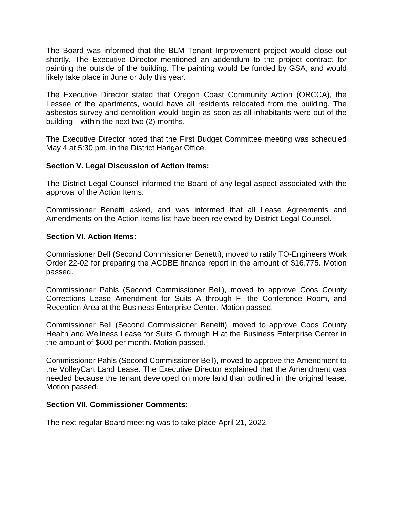The Board was informed that the BLM Tenant Improvement project would close out shortly. The Executive Director mentioned an addendum to the project contract for painting the outside of the building. The painting would be funded by GSA, and would likely take place in June or July this year.

The Executive Director stated that Oregon Coast Community Action (ORCCA), the Lessee of the apartments, would have all residents relocated from the building. The asbestos survey and demolition would begin as soon as all inhabitants were out of the building—within the next two (2) months.

The Executive Director noted that the First Budget Committee meeting was scheduled May 4 at 5:30 pm, in the District Hangar Office.

## **Section V. Legal Discussion of Action Items:**

The District Legal Counsel informed the Board of any legal aspect associated with the approval of the Action Items.

Commissioner Benetti asked, and was informed that all Lease Agreements and Amendments on the Action Items list have been reviewed by District Legal Counsel.

#### **Section VI. Action Items:**

Commissioner Bell (Second Commissioner Benetti), moved to ratify TO-Engineers Work Order 22-02 for preparing the ACDBE finance report in the amount of \$16,775. Motion passed.

Commissioner Pahls (Second Commissioner Bell), moved to approve Coos County Corrections Lease Amendment for Suits A through F, the Conference Room, and Reception Area at the Business Enterprise Center. Motion passed.

Commissioner Bell (Second Commissioner Benetti), moved to approve Coos County Health and Wellness Lease for Suits G through H at the Business Enterprise Center in the amount of \$600 per month. Motion passed.

Commissioner Pahls (Second Commissioner Bell), moved to approve the Amendment to the VolleyCart Land Lease. The Executive Director explained that the Amendment was needed because the tenant developed on more land than outlined in the original lease. Motion passed.

#### **Section VII. Commissioner Comments:**

The next regular Board meeting was to take place April 21, 2022.